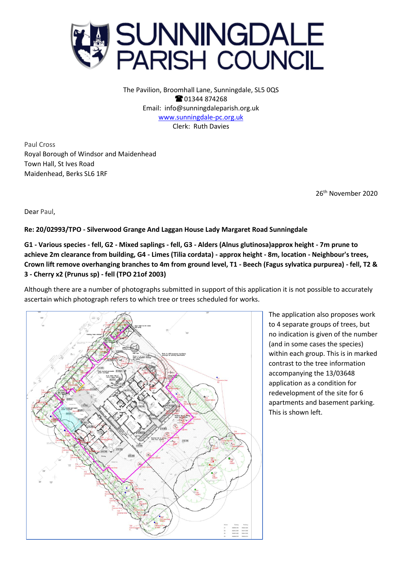

The Pavilion, Broomhall Lane, Sunningdale, SL5 0QS **@01344874268** Email: info@sunningdaleparish.org.uk [www.sunningdale-pc.org.uk](http://www.sunningdale-pc.org.uk/) Clerk: Ruth Davies

Paul Cross Royal Borough of Windsor and Maidenhead Town Hall, St Ives Road Maidenhead, Berks SL6 1RF

26 th November 2020

Dear Paul,

**Re: 20/02993/TPO - Silverwood Grange And Laggan House Lady Margaret Road Sunningdale** 

**G1 - Various species - fell, G2 - Mixed saplings - fell, G3 - Alders (Alnus glutinosa)approx height - 7m prune to achieve 2m clearance from building, G4 - Limes (Tilia cordata) - approx height - 8m, location - Neighbour's trees, Crown lift remove overhanging branches to 4m from ground level, T1 - Beech (Fagus sylvatica purpurea) - fell, T2 & 3 - Cherry x2 (Prunus sp) - fell (TPO 21of 2003)**

Although there are a number of photographs submitted in support of this application it is not possible to accurately ascertain which photograph refers to which tree or trees scheduled for works.



The application also proposes work to 4 separate groups of trees, but no indication is given of the number (and in some cases the species) within each group. This is in marked contrast to the tree information accompanying the 13/03648 application as a condition for redevelopment of the site for 6 apartments and basement parking. This is shown left.